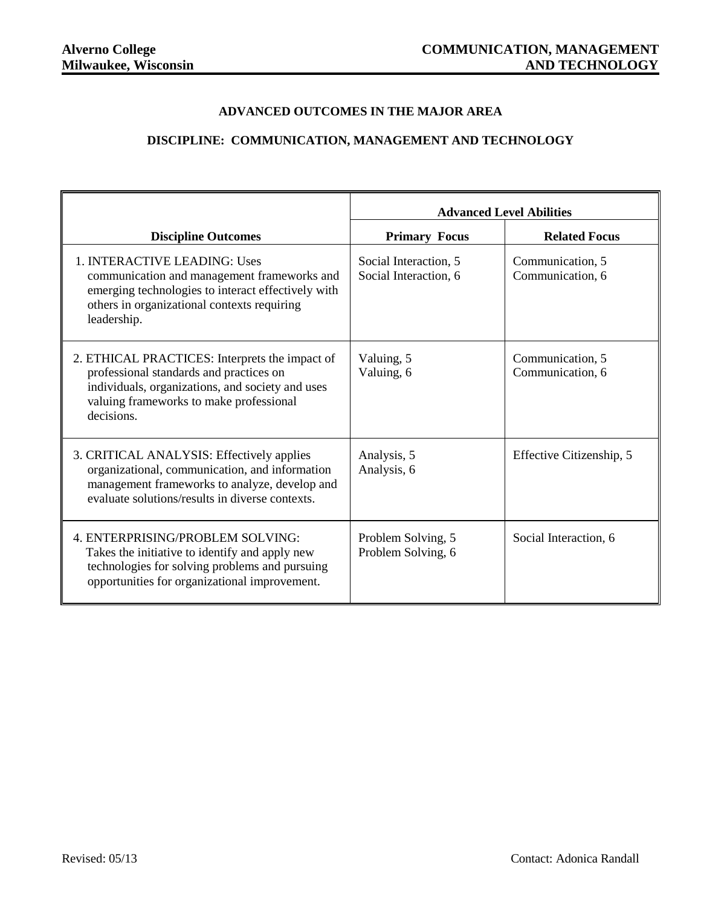## **ADVANCED OUTCOMES IN THE MAJOR AREA**

## **DISCIPLINE: COMMUNICATION, MANAGEMENT AND TECHNOLOGY**

|                                                                                                                                                                                                        | <b>Advanced Level Abilities</b>                |                                      |
|--------------------------------------------------------------------------------------------------------------------------------------------------------------------------------------------------------|------------------------------------------------|--------------------------------------|
| <b>Discipline Outcomes</b>                                                                                                                                                                             | <b>Primary Focus</b>                           | <b>Related Focus</b>                 |
| 1. INTERACTIVE LEADING: Uses<br>communication and management frameworks and<br>emerging technologies to interact effectively with<br>others in organizational contexts requiring<br>leadership.        | Social Interaction, 5<br>Social Interaction, 6 | Communication, 5<br>Communication, 6 |
| 2. ETHICAL PRACTICES: Interprets the impact of<br>professional standards and practices on<br>individuals, organizations, and society and uses<br>valuing frameworks to make professional<br>decisions. | Valuing, 5<br>Valuing, 6                       | Communication, 5<br>Communication, 6 |
| 3. CRITICAL ANALYSIS: Effectively applies<br>organizational, communication, and information<br>management frameworks to analyze, develop and<br>evaluate solutions/results in diverse contexts.        | Analysis, 5<br>Analysis, 6                     | Effective Citizenship, 5             |
| 4. ENTERPRISING/PROBLEM SOLVING:<br>Takes the initiative to identify and apply new<br>technologies for solving problems and pursuing<br>opportunities for organizational improvement.                  | Problem Solving, 5<br>Problem Solving, 6       | Social Interaction, 6                |